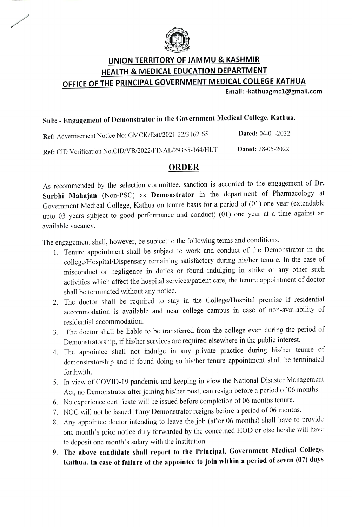

## UNION TERRITORY OF JAMMU & KASHMIR HEALTH& MEDICAL EDUCATION DEPARTMENT OFFICE OF THE PRINCIPAL GOVERNMENT MEDICAL COLLEGE KATHUA

Email:-kathuagmc1@gmail.com

# Sub: Engagement of Demonstrator in the Government Medical College, Kathua.

Dated: 04-01-2022 Ref: Advertisement Notice No: GMCK/Est/2021-22/3162-65 Dated: 28-05-2022 Ref: CID Verification No.CID/VB/2022/FINAL/29355-364/HLT

#### ORDER

As recommended by the selection committee, sanction is accorded to the engagement of Dr. Surbhi Mahajan (Non-PSC) as Demonstrator in the department of Pharmacology at Government Medical College, Kathua on tenure basis for a period of (01) one year (extendable upto 03 years subject to good performance and conduct) (01) one year at a time against an available vacancy.

The engagement shall, however, be subject to the following terms and conditions:

- 1. Tenure appointment shall be subject to work and conduct of the Demonstrator in the college/Hospital/Dispensary remaining satisfactory during his/her tenure. In the case of misconduct or negligence in duties or found indulging in strike or any other such activities which affect the hospital services/patient care, the tenure appointment of doctor shall be terminated without any notice.
- 2. The doctor shall be required to stay in the College/Hospital premise if residential accommodation is available and near college campus in case of non-availability of residential accommodation.
- The doctor shall be liable to be transferred from the college even during the period of 3. Demonstratorship, if his/her services are required elsewhere in the public interest.
- 4. The appointee shall not indulge in any private practice during his/her tenure of demonstratorship and if found doing so his/her tenure appointment shall be terminated forthwith.
- 5. In view of COVD-19 pandemic and keeping in view the National Disaster Management Act, no Demonstrator after joining his/her post, can resign before a period of 06 months.
- 6. No experience certificate will be issued before completion of 06 months tenure.
- 7. NOC will not be issued if any Demonstrator resigns before a period of 06 months.
- 8. Any appointee doctor intending to leave the job (after 06 months) shall have to provide one month's prior notice duly forwarded by the concerned HOD or else he/she will have to deposit one month's salary with the institution.
- 9. The above candidate shall report to the Principal, Government Medical College, Kathua. In case of failure of the appointee to join within a period of seven (07) days